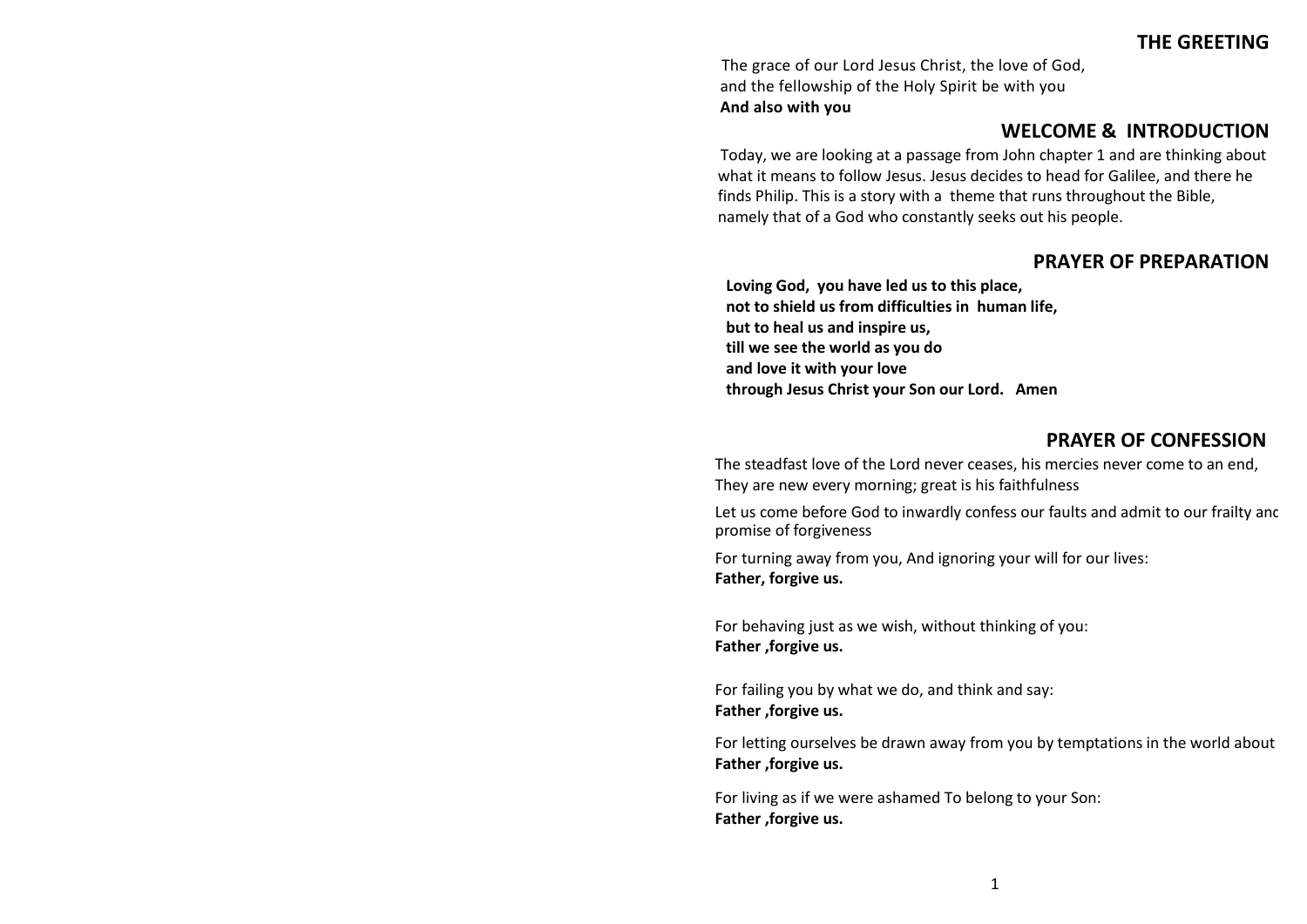**THE GREETING**

The grace of our Lord Jesus Christ, the love of God, and the fellowship of the Holy Spirit be with you **And also with you**

## **WELCOME & INTRODUCTION**

Today, we are looking at a passage from John chapter 1 and are thinking about what it means to follow Jesus. Jesus decides to head for Galilee, and there he finds Philip. This is a story with a theme that runs throughout the Bible, namely that of a God who constantly seeks out his people.

## **PRAYER OF PREPARATION**

**Loving God, you have led us to this place, not to shield us from difficulties in human life, but to heal us and inspire us, till we see the world as you do and love it with your love through Jesus Christ your Son our Lord. Amen** 

## **PRAYER OF CONFESSION**

The steadfast love of the Lord never ceases, his mercies never come to an end, They are new every morning; great is his faithfulness

Let us come before God to inwardly confess our faults and admit to our frailty and promise of forgiveness

For turning away from you, And ignoring your will for our lives: **Father, forgive us.**

For behaving just as we wish, without thinking of you: **Father ,forgive us.**

For failing you by what we do, and think and say: **Father ,forgive us.**

For letting ourselves be drawn away from you by temptations in the world about **Father ,forgive us.**

For living as if we were ashamed To belong to your Son: **Father ,forgive us.**